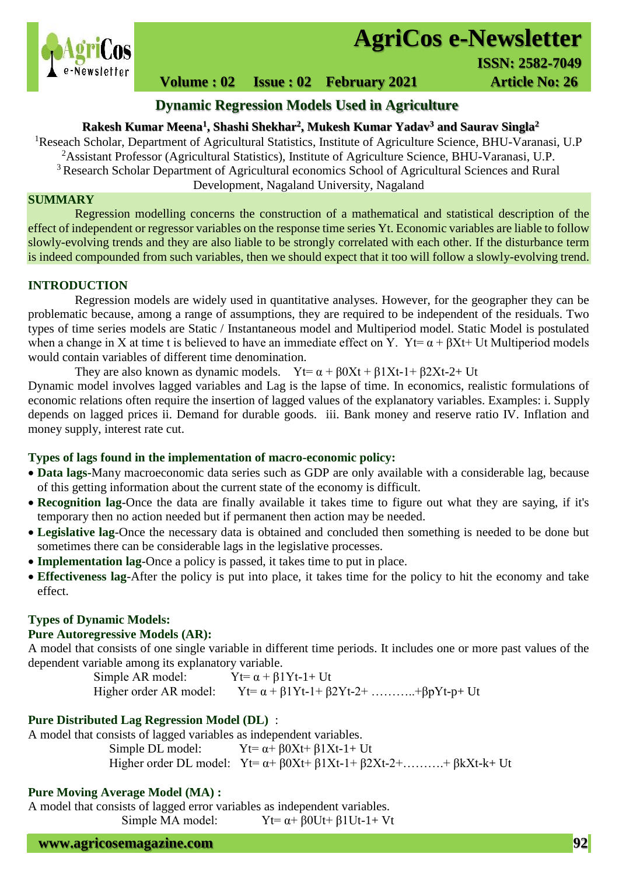

# **AgriCos e-Newsletter**

 **ISSN: 2582-7049**<br>  **ISSN: 2582-7049** 

# **Volume : 02 Issue : 02 February 2021 4rticle No: 26**

## **Dynamic Regression Models Used in Agriculture**

## **Rakesh Kumar Meena<sup>1</sup> , Shashi Shekhar<sup>2</sup> , Mukesh Kumar Yadav<sup>3</sup> and Saurav Singla<sup>2</sup>**

<sup>1</sup>Reseach Scholar, Department of Agricultural Statistics, Institute of Agriculture Science, BHU-Varanasi, U.P <sup>2</sup>Assistant Professor (Agricultural Statistics), Institute of Agriculture Science, BHU-Varanasi, U.P.

<sup>3</sup> Research Scholar Department of Agricultural economics School of Agricultural Sciences and Rural

#### Development, Nagaland University, Nagaland

## **SUMMARY**

 Regression modelling concerns the construction of a mathematical and statistical description of the effect of independent or regressor variables on the response time series Yt. Economic variables are liable to follow slowly-evolving trends and they are also liable to be strongly correlated with each other. If the disturbance term is indeed compounded from such variables, then we should expect that it too will follow a slowly-evolving trend.

#### **INTRODUCTION**

Regression models are widely used in quantitative analyses. However, for the geographer they can be problematic because, among a range of assumptions, they are required to be independent of the residuals. Two types of time series models are Static / Instantaneous model and Multiperiod model. Static Model is postulated when a change in X at time t is believed to have an immediate effect on Y. Yt=  $\alpha$  +  $\beta$ Xt+ Ut Multiperiod models would contain variables of different time denomination.

They are also known as dynamic models.  $Yt = \alpha + \beta 0Xt + \beta 1Xt-1 + \beta 2Xt-2 + Ut$ 

Dynamic model involves lagged variables and Lag is the lapse of time. In economics, realistic formulations of economic relations often require the insertion of lagged values of the explanatory variables. Examples: i. Supply depends on lagged prices ii. Demand for durable goods. iii. Bank money and reserve ratio IV. Inflation and money supply, interest rate cut.

#### **Types of lags found in the implementation of macro-economic policy:**

- **Data lags-**Many macroeconomic data series such as GDP are only available with a considerable lag, because of this getting information about the current state of the economy is difficult.
- **Recognition lag**-Once the data are finally available it takes time to figure out what they are saying, if it's temporary then no action needed but if permanent then action may be needed.
- **Legislative lag**-Once the necessary data is obtained and concluded then something is needed to be done but sometimes there can be considerable lags in the legislative processes.
- **Implementation lag**-Once a policy is passed, it takes time to put in place.

 **Effectiveness lag**-After the policy is put into place, it takes time for the policy to hit the economy and take effect.

## **Types of Dynamic Models:**

#### **Pure Autoregressive Models (AR):**

A model that consists of one single variable in different time periods. It includes one or more past values of the dependent variable among its explanatory variable.

| Simple AR model:       | $Yt = \alpha + \beta 1Yt-1+Ut$                                             |
|------------------------|----------------------------------------------------------------------------|
| Higher order AR model: | $Yt = \alpha + \beta 1Yt - 1 + \beta 2Yt - 2 + \dots + \beta pYt - p + Ut$ |

#### **Pure Distributed Lag Regression Model (DL)** :

A model that consists of lagged variables as independent variables.<br>Simple DL model:  $Yt = \alpha + \beta 0Xt + \beta 1Xt - 1 + U$  $Yt = \alpha + \beta 0Xt + \beta 1Xt-1+ Ut$ Higher order DL model:  $Yt = \alpha + \beta 0Xt + \beta 1Xt-1+\beta 2Xt-2+\dots + \beta kXt-k+ Ut$ 

#### **Pure Moving Average Model (MA) :**

A model that consists of lagged error variables as independent variables. Simple MA model:  $Yt = \alpha + \beta 0Ut + \beta 1Ut-1 + Vt$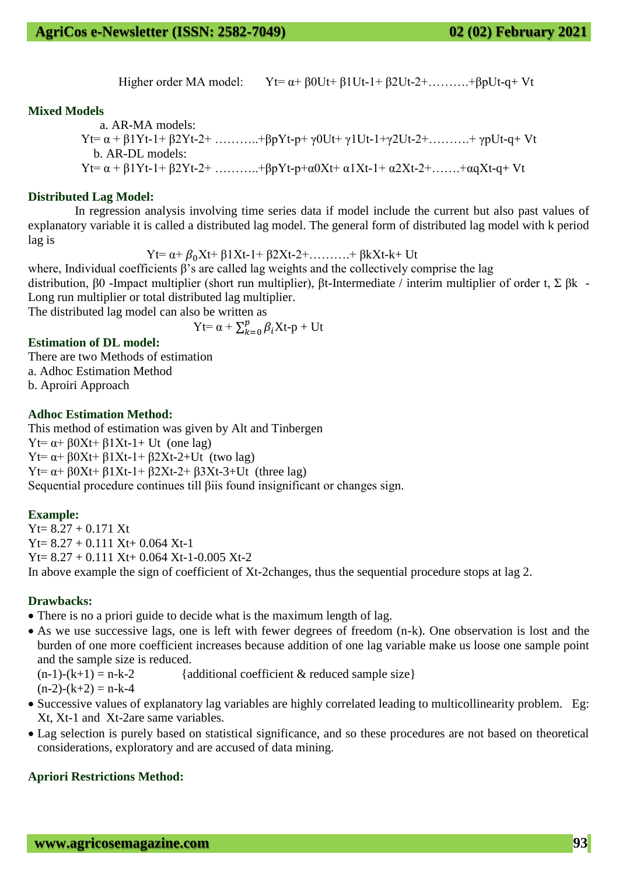Higher order MA model:  $Yt = \alpha + \beta 0Ut + \beta 1Ut - 1 + \beta 2Ut - 2 + \dots + \beta pUt - q + Vt$ 

#### **Mixed Models**

 a. AR-MA models: Yt= α + β1Yt-1+ β2Yt-2+ ………..+βpYt-p+ γ0Ut+ γ1Ut-1+γ2Ut-2+……….+ γpUt-q+ Vt b. AR-DL models:  $Yt = \alpha + \beta 1Yt-1+\beta 2Yt-2+\dots+\beta pYt-p+\alpha 0Xt+\alpha 1Xt-1+\alpha 2Xt-2+\dots+\alpha qXt-q+Vt$ 

#### **Distributed Lag Model:**

In regression analysis involving time series data if model include the current but also past values of explanatory variable it is called a distributed lag model. The general form of distributed lag model with k period lag is

 $Yt = α + β<sub>0</sub>Xt + β1Xt-1+ β2Xt-2+$ ……...+βkXt-k+ Ut

where, Individual coefficients β's are called lag weights and the collectively comprise the lag distribution, β0 -Impact multiplier (short run multiplier), βt-Intermediate / interim multiplier of order t, Σ βk - Long run multiplier or total distributed lag multiplier.

The distributed lag model can also be written as

$$
Yt = \alpha + \sum_{k=0}^{p} \beta_i Xt - p + Ut
$$

#### **Estimation of DL model:**

There are two Methods of estimation a. Adhoc Estimation Method b. Aproiri Approach

#### **Adhoc Estimation Method:**

This method of estimation was given by Alt and Tinbergen Yt=  $\alpha$ + β0Xt+ β1Xt-1+ Ut (one lag) Yt=  $\alpha$ + β0Xt+ β1Xt-1+ β2Xt-2+Ut (two lag)  $Yt = \alpha + \beta 0Xt + \beta 1Xt - 1 + \beta 2Xt - 2 + \beta 3Xt - 3 + Ut$  (three lag) Sequential procedure continues till βiis found insignificant or changes sign.

#### **Example:**

 $Yt= 8.27 + 0.171$  Xt  $Yt= 8.27 + 0.111 \text{ Xt} + 0.064 \text{ Xt}$ -1 Yt= 8.27 + 0.111 Xt+ 0.064 Xt-1-0.005 Xt-2 In above example the sign of coefficient of Xt-2changes, thus the sequential procedure stops at lag 2.

#### **Drawbacks:**

- There is no a priori guide to decide what is the maximum length of lag.
- As we use successive lags, one is left with fewer degrees of freedom (n-k). One observation is lost and the burden of one more coefficient increases because addition of one lag variable make us loose one sample point and the sample size is reduced.

 $(n-1)-(k+1) = n-k-2$  {additional coefficient & reduced sample size}

 $(n-2)-(k+2) = n-k-4$ 

- Successive values of explanatory lag variables are highly correlated leading to multicollinearity problem. Eg: Xt, Xt-1 and Xt-2are same variables.
- Lag selection is purely based on statistical significance, and so these procedures are not based on theoretical considerations, exploratory and are accused of data mining.

#### **Apriori Restrictions Method:**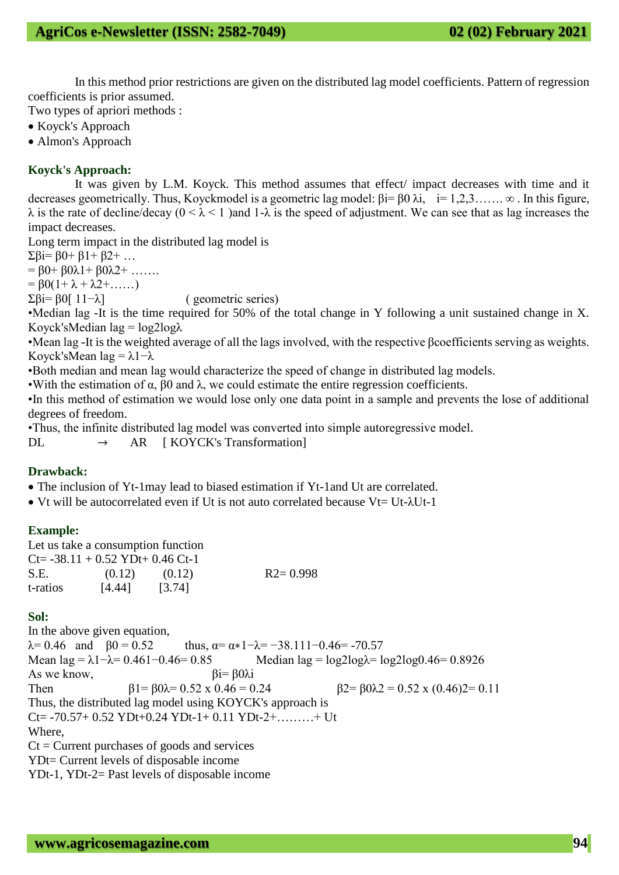In this method prior restrictions are given on the distributed lag model coefficients. Pattern of regression coefficients is prior assumed.

Two types of apriori methods :

- Koyck's Approach
- Almon's Approach

## **Koyck's Approach:**

It was given by L.M. Koyck. This method assumes that effect/ impact decreases with time and it decreases geometrically. Thus, Koyckmodel is a geometric lag model: βi= β0 λi, i= 1,2,3……. ∞ . In this figure,  $\lambda$  is the rate of decline/decay ( $0 < \lambda < 1$ ) and  $1-\lambda$  is the speed of adjustment. We can see that as lag increases the impact decreases.

Long term impact in the distributed lag model is

 $Σβi= β0+ β1+ β2+ ...$ 

 $= 80+ 80\lambda 1 + 80\lambda 2 + \ldots$ 

 $= \beta 0(1 + \lambda + \lambda 2 + \dots)$ 

 $Σβi = β0[11−λ]$  (geometric series)

•Median lag -It is the time required for 50% of the total change in Y following a unit sustained change in X. Koyck'sMedian  $\log = \log 2 \log \lambda$ 

•Mean lag -It is the weighted average of all the lags involved, with the respective βcoefficients serving as weights. Koyck'sMean lag = λ1−λ

•Both median and mean lag would characterize the speed of change in distributed lag models.

•With the estimation of  $\alpha$ ,  $\beta$ 0 and  $\lambda$ , we could estimate the entire regression coefficients.

•In this method of estimation we would lose only one data point in a sample and prevents the lose of additional degrees of freedom.

•Thus, the infinite distributed lag model was converted into simple autoregressive model.

 $DL \rightarrow AR \quad [KOYCK's Transformation]$ 

## **Drawback:**

The inclusion of Yt-1may lead to biased estimation if Yt-1and Ut are correlated.

• Vt will be autocorrelated even if Ut is not auto correlated because  $Vt= Ut-λUt-1$ 

## **Example:**

Let us take a consumption function  $Ct = -38.11 + 0.52 \text{ YDt} + 0.46 \text{ Ct} - 1$ S.E.  $(0.12)$   $(0.12)$   $R2=0.998$ t-ratios [4.44] [3.74]

## **Sol:**

In the above given equation, λ= 0.46 and  $β0 = 0.52$  thus,  $α= α*1-λ= -38.111-0.46= -70.57$ <br>Mean lag =  $λ1-λ= 0.461-0.46= 0.85$  Median lag = log2logλ= l Median lag =  $log2log\lambda = log2log0.46= 0.8926$ As we know,  $\beta i = \beta 0 \lambda i$ Then  $\beta$ 1=  $\beta$ 0 $\lambda$ = 0.52 x 0.46 = 0.24  $\beta$ 2=  $\beta$ 0 $\lambda$ 2 = 0.52 x (0.46)2= 0.11 Thus, the distributed lag model using KOYCK's approach is  $Ct = -70.57 + 0.52 \text{ YDt} + 0.24 \text{ YDt} - 1 + 0.11 \text{ YDt} - 2 + \dots + \text{ Ut}$ Where,  $C_t$  = Current purchases of goods and services YDt= Current levels of disposable income YDt-1, YDt-2= Past levels of disposable income